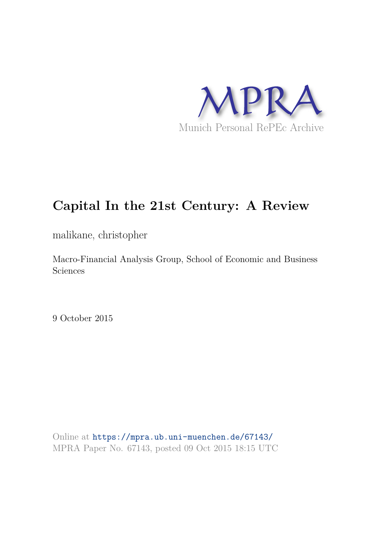

# **Capital In the 21st Century: A Review**

malikane, christopher

Macro-Financial Analysis Group, School of Economic and Business Sciences

9 October 2015

Online at https://mpra.ub.uni-muenchen.de/67143/ MPRA Paper No. 67143, posted 09 Oct 2015 18:15 UTC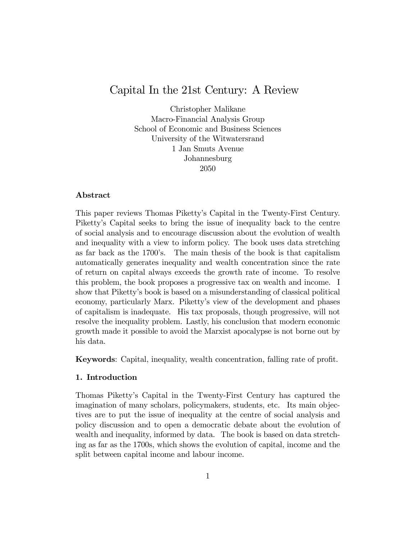## Capital In the 21st Century: A Review

Christopher Malikane Macro-Financial Analysis Group School of Economic and Business Sciences University of the Witwatersrand 1 Jan Smuts Avenue Johannesburg 2050

## Abstract

This paper reviews Thomas Pikettyís Capital in the Twenty-First Century. Pikettyís Capital seeks to bring the issue of inequality back to the centre of social analysis and to encourage discussion about the evolution of wealth and inequality with a view to inform policy. The book uses data stretching as far back as the 1700ís. The main thesis of the book is that capitalism automatically generates inequality and wealth concentration since the rate of return on capital always exceeds the growth rate of income. To resolve this problem, the book proposes a progressive tax on wealth and income. I show that Pikettyís book is based on a misunderstanding of classical political economy, particularly Marx. Pikettyís view of the development and phases of capitalism is inadequate. His tax proposals, though progressive, will not resolve the inequality problem. Lastly, his conclusion that modern economic growth made it possible to avoid the Marxist apocalypse is not borne out by his data.

Keywords: Capital, inequality, wealth concentration, falling rate of profit.

## 1. Introduction

Thomas Pikettyís Capital in the Twenty-First Century has captured the imagination of many scholars, policymakers, students, etc. Its main objectives are to put the issue of inequality at the centre of social analysis and policy discussion and to open a democratic debate about the evolution of wealth and inequality, informed by data. The book is based on data stretching as far as the 1700s, which shows the evolution of capital, income and the split between capital income and labour income.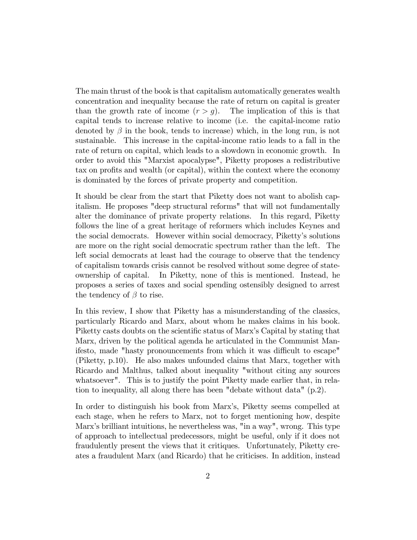The main thrust of the book is that capitalism automatically generates wealth concentration and inequality because the rate of return on capital is greater than the growth rate of income  $(r > g)$ . The implication of this is that capital tends to increase relative to income (i.e. the capital-income ratio denoted by  $\beta$  in the book, tends to increase) which, in the long run, is not sustainable. This increase in the capital-income ratio leads to a fall in the rate of return on capital, which leads to a slowdown in economic growth. In order to avoid this "Marxist apocalypse", Piketty proposes a redistributive tax on profits and wealth (or capital), within the context where the economy is dominated by the forces of private property and competition.

It should be clear from the start that Piketty does not want to abolish capitalism. He proposes "deep structural reforms" that will not fundamentally alter the dominance of private property relations. In this regard, Piketty follows the line of a great heritage of reformers which includes Keynes and the social democrats. However within social democracy, Pikettyís solutions are more on the right social democratic spectrum rather than the left. The left social democrats at least had the courage to observe that the tendency of capitalism towards crisis cannot be resolved without some degree of stateownership of capital. In Piketty, none of this is mentioned. Instead, he proposes a series of taxes and social spending ostensibly designed to arrest the tendency of  $\beta$  to rise.

In this review, I show that Piketty has a misunderstanding of the classics, particularly Ricardo and Marx, about whom he makes claims in his book. Piketty casts doubts on the scientific status of Marx's Capital by stating that Marx, driven by the political agenda he articulated in the Communist Manifesto, made "hasty pronouncements from which it was difficult to escape" (Piketty, p.10). He also makes unfounded claims that Marx, together with Ricardo and Malthus, talked about inequality "without citing any sources whatsoever". This is to justify the point Piketty made earlier that, in relation to inequality, all along there has been "debate without data" (p.2).

In order to distinguish his book from Marxís, Piketty seems compelled at each stage, when he refers to Marx, not to forget mentioning how, despite Marxís brilliant intuitions, he nevertheless was, "in a way", wrong. This type of approach to intellectual predecessors, might be useful, only if it does not fraudulently present the views that it critiques. Unfortunately, Piketty creates a fraudulent Marx (and Ricardo) that he criticises. In addition, instead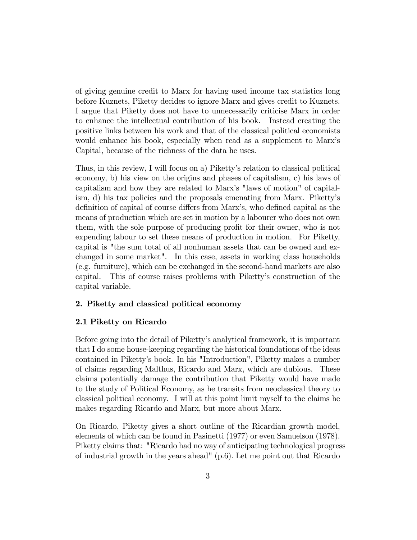of giving genuine credit to Marx for having used income tax statistics long before Kuznets, Piketty decides to ignore Marx and gives credit to Kuznets. I argue that Piketty does not have to unnecessarily criticise Marx in order to enhance the intellectual contribution of his book. Instead creating the positive links between his work and that of the classical political economists would enhance his book, especially when read as a supplement to Marx's Capital, because of the richness of the data he uses.

Thus, in this review, I will focus on a) Piketty's relation to classical political economy, b) his view on the origins and phases of capitalism, c) his laws of capitalism and how they are related to Marxís "laws of motion" of capitalism, d) his tax policies and the proposals emenating from Marx. Pikettyís definition of capital of course differs from Marx's, who defined capital as the means of production which are set in motion by a labourer who does not own them, with the sole purpose of producing profit for their owner, who is not expending labour to set these means of production in motion. For Piketty, capital is "the sum total of all nonhuman assets that can be owned and exchanged in some market". In this case, assets in working class households (e.g. furniture), which can be exchanged in the second-hand markets are also capital. This of course raises problems with Pikettyís construction of the capital variable.

## 2. Piketty and classical political economy

## 2.1 Piketty on Ricardo

Before going into the detail of Pikettyís analytical framework, it is important that I do some house-keeping regarding the historical foundations of the ideas contained in Pikettyís book. In his "Introduction", Piketty makes a number of claims regarding Malthus, Ricardo and Marx, which are dubious. These claims potentially damage the contribution that Piketty would have made to the study of Political Economy, as he transits from neoclassical theory to classical political economy. I will at this point limit myself to the claims he makes regarding Ricardo and Marx, but more about Marx.

On Ricardo, Piketty gives a short outline of the Ricardian growth model, elements of which can be found in Pasinetti (1977) or even Samuelson (1978). Piketty claims that: "Ricardo had no way of anticipating technological progress of industrial growth in the years ahead" (p.6). Let me point out that Ricardo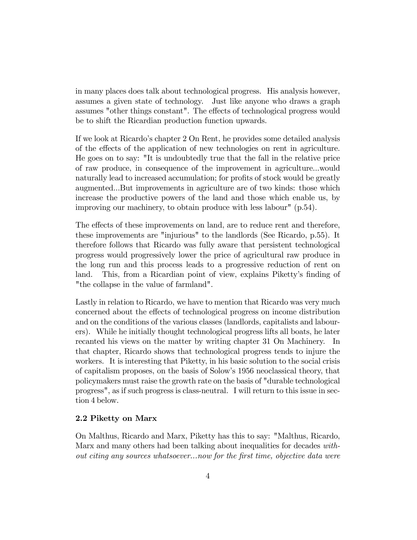in many places does talk about technological progress. His analysis however, assumes a given state of technology. Just like anyone who draws a graph assumes "other things constant". The effects of technological progress would be to shift the Ricardian production function upwards.

If we look at Ricardoís chapter 2 On Rent, he provides some detailed analysis of the effects of the application of new technologies on rent in agriculture. He goes on to say: "It is undoubtedly true that the fall in the relative price of raw produce, in consequence of the improvement in agriculture...would naturally lead to increased accumulation; for profits of stock would be greatly augmented...But improvements in agriculture are of two kinds: those which increase the productive powers of the land and those which enable us, by improving our machinery, to obtain produce with less labour" (p.54).

The effects of these improvements on land, are to reduce rent and therefore, these improvements are "injurious" to the landlords (See Ricardo, p.55). It therefore follows that Ricardo was fully aware that persistent technological progress would progressively lower the price of agricultural raw produce in the long run and this process leads to a progressive reduction of rent on land. This, from a Ricardian point of view, explains Piketty's finding of "the collapse in the value of farmland".

Lastly in relation to Ricardo, we have to mention that Ricardo was very much concerned about the effects of technological progress on income distribution and on the conditions of the various classes (landlords, capitalists and labourers). While he initially thought technological progress lifts all boats, he later recanted his views on the matter by writing chapter 31 On Machinery. In that chapter, Ricardo shows that technological progress tends to injure the workers. It is interesting that Piketty, in his basic solution to the social crisis of capitalism proposes, on the basis of Solowís 1956 neoclassical theory, that policymakers must raise the growth rate on the basis of "durable technological progress", as if such progress is class-neutral. I will return to this issue in section 4 below.

## 2.2 Piketty on Marx

On Malthus, Ricardo and Marx, Piketty has this to say: "Malthus, Ricardo, Marx and many others had been talking about inequalities for decades without citing any sources whatsoever...now for the Örst time, objective data were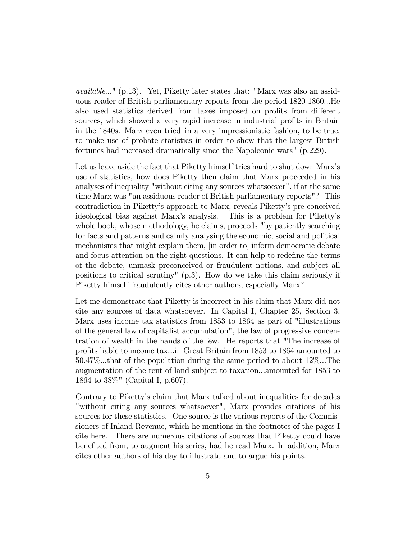available..." (p.13). Yet, Piketty later states that: "Marx was also an assiduous reader of British parliamentary reports from the period 1820-1860...He also used statistics derived from taxes imposed on profits from different sources, which showed a very rapid increase in industrial profits in Britain in the 1840s. Marx even tried–in a very impressionistic fashion, to be true, to make use of probate statistics in order to show that the largest British fortunes had increased dramatically since the Napoleonic wars" (p.229).

Let us leave aside the fact that Piketty himself tries hard to shut down Marx's use of statistics, how does Piketty then claim that Marx proceeded in his analyses of inequality "without citing any sources whatsoever", if at the same time Marx was "an assiduous reader of British parliamentary reports"? This contradiction in Pikettyís approach to Marx, reveals Pikettyís pre-conceived ideological bias against Marx's analysis. This is a problem for Piketty's whole book, whose methodology, he claims, proceeds "by patiently searching for facts and patterns and calmly analysing the economic, social and political mechanisms that might explain them, [in order to] inform democratic debate and focus attention on the right questions. It can help to redefine the terms of the debate, unmask preconceived or fraudulent notions, and subject all positions to critical scrutiny" (p.3). How do we take this claim seriously if Piketty himself fraudulently cites other authors, especially Marx?

Let me demonstrate that Piketty is incorrect in his claim that Marx did not cite any sources of data whatsoever. In Capital I, Chapter 25, Section 3, Marx uses income tax statistics from 1853 to 1864 as part of "illustrations of the general law of capitalist accumulation", the law of progressive concentration of wealth in the hands of the few. He reports that "The increase of profits liable to income tax...in Great Britain from 1853 to 1864 amounted to 50.47%...that of the population during the same period to about 12%...The augmentation of the rent of land subject to taxation...amounted for 1853 to 1864 to 38%" (Capital I, p.607).

Contrary to Pikettyís claim that Marx talked about inequalities for decades "without citing any sources whatsoever", Marx provides citations of his sources for these statistics. One source is the various reports of the Commissioners of Inland Revenue, which he mentions in the footnotes of the pages I cite here. There are numerous citations of sources that Piketty could have benefited from, to augment his series, had he read Marx. In addition, Marx cites other authors of his day to illustrate and to argue his points.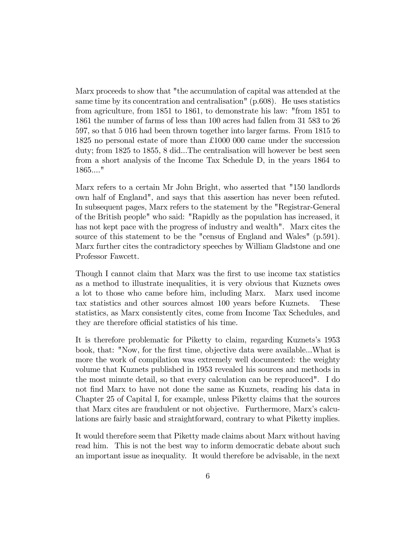Marx proceeds to show that "the accumulation of capital was attended at the same time by its concentration and centralisation" (p.608). He uses statistics from agriculture, from 1851 to 1861, to demonstrate his law: "from 1851 to 1861 the number of farms of less than 100 acres had fallen from 31 583 to 26 597, so that 5 016 had been thrown together into larger farms. From 1815 to 1825 no personal estate of more than £1000 000 came under the succession duty; from 1825 to 1855, 8 did...The centralisation will however be best seen from a short analysis of the Income Tax Schedule D, in the years 1864 to 1865...."

Marx refers to a certain Mr John Bright, who asserted that "150 landlords own half of England", and says that this assertion has never been refuted. In subsequent pages, Marx refers to the statement by the "Registrar-General of the British people" who said: "Rapidly as the population has increased, it has not kept pace with the progress of industry and wealth". Marx cites the source of this statement to be the "census of England and Wales" (p.591). Marx further cites the contradictory speeches by William Gladstone and one Professor Fawcett.

Though I cannot claim that Marx was the first to use income tax statistics as a method to illustrate inequalities, it is very obvious that Kuznets owes a lot to those who came before him, including Marx. Marx used income tax statistics and other sources almost 100 years before Kuznets. These statistics, as Marx consistently cites, come from Income Tax Schedules, and they are therefore official statistics of his time.

It is therefore problematic for Piketty to claim, regarding Kuznetsís 1953 book, that: "Now, for the first time, objective data were available...What is more the work of compilation was extremely well documented: the weighty volume that Kuznets published in 1953 revealed his sources and methods in the most minute detail, so that every calculation can be reproduced". I do not find Marx to have not done the same as Kuznets, reading his data in Chapter 25 of Capital I, for example, unless Piketty claims that the sources that Marx cites are fraudulent or not objective. Furthermore, Marxís calculations are fairly basic and straightforward, contrary to what Piketty implies.

It would therefore seem that Piketty made claims about Marx without having read him. This is not the best way to inform democratic debate about such an important issue as inequality. It would therefore be advisable, in the next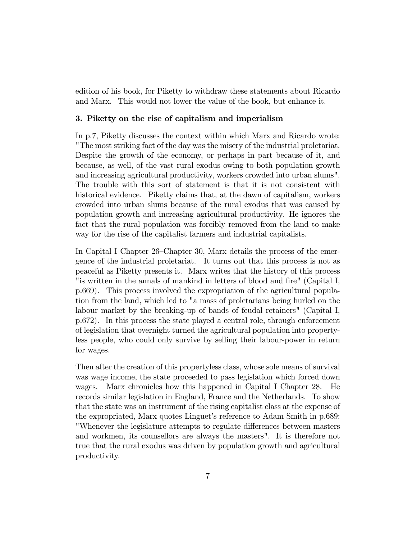edition of his book, for Piketty to withdraw these statements about Ricardo and Marx. This would not lower the value of the book, but enhance it.

#### 3. Piketty on the rise of capitalism and imperialism

In p.7, Piketty discusses the context within which Marx and Ricardo wrote: "The most striking fact of the day was the misery of the industrial proletariat. Despite the growth of the economy, or perhaps in part because of it, and because, as well, of the vast rural exodus owing to both population growth and increasing agricultural productivity, workers crowded into urban slums". The trouble with this sort of statement is that it is not consistent with historical evidence. Piketty claims that, at the dawn of capitalism, workers crowded into urban slums because of the rural exodus that was caused by population growth and increasing agricultural productivity. He ignores the fact that the rural population was forcibly removed from the land to make way for the rise of the capitalist farmers and industrial capitalists.

In Capital I Chapter 26–Chapter 30, Marx details the process of the emergence of the industrial proletariat. It turns out that this process is not as peaceful as Piketty presents it. Marx writes that the history of this process "is written in the annals of mankind in letters of blood and fire" (Capital I, p.669). This process involved the expropriation of the agricultural population from the land, which led to "a mass of proletarians being hurled on the labour market by the breaking-up of bands of feudal retainers" (Capital I, p.672). In this process the state played a central role, through enforcement of legislation that overnight turned the agricultural population into propertyless people, who could only survive by selling their labour-power in return for wages.

Then after the creation of this propertyless class, whose sole means of survival was wage income, the state proceeded to pass legislation which forced down wages. Marx chronicles how this happened in Capital I Chapter 28. He records similar legislation in England, France and the Netherlands. To show that the state was an instrument of the rising capitalist class at the expense of the expropriated, Marx quotes Linguet's reference to Adam Smith in p.689: "Whenever the legislature attempts to regulate differences between masters and workmen, its counsellors are always the masters". It is therefore not true that the rural exodus was driven by population growth and agricultural productivity.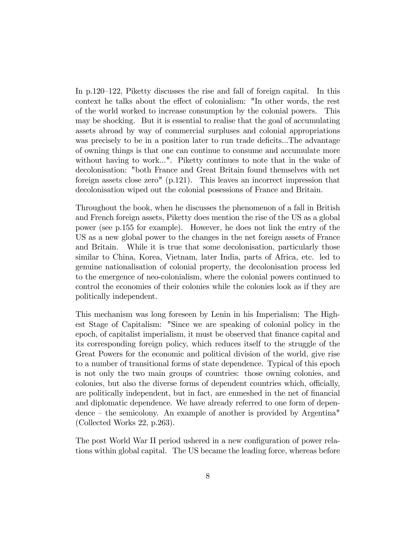In  $p.120-122$ , Piketty discusses the rise and fall of foreign capital. In this context he talks about the effect of colonialism: "In other words, the rest of the world worked to increase consumption by the colonial powers. This may be shocking. But it is essential to realise that the goal of accumulating assets abroad by way of commercial surpluses and colonial appropriations was precisely to be in a position later to run trade deficits...The advantage of owning things is that one can continue to consume and accumulate more without having to work...". Piketty continues to note that in the wake of decolonisation: "both France and Great Britain found themselves with net foreign assets close zero" (p.121). This leaves an incorrect impression that decolonisation wiped out the colonial posessions of France and Britain.

Throughout the book, when he discusses the phenomenon of a fall in British and French foreign assets, Piketty does mention the rise of the US as a global power (see p.155 for example). However, he does not link the entry of the US as a new global power to the changes in the net foreign assets of France and Britain. While it is true that some decolonisation, particularly those similar to China, Korea, Vietnam, later India, parts of Africa, etc. led to genuine nationalisation of colonial property, the decolonisation process led to the emergence of neo-colonialism, where the colonial powers continued to control the economies of their colonies while the colonies look as if they are politically independent.

This mechanism was long foreseen by Lenin in his Imperialism: The Highest Stage of Capitalism: "Since we are speaking of colonial policy in the epoch, of capitalist imperialism, it must be observed that finance capital and its corresponding foreign policy, which reduces itself to the struggle of the Great Powers for the economic and political division of the world, give rise to a number of transitional forms of state dependence. Typical of this epoch is not only the two main groups of countries: those owning colonies, and colonies, but also the diverse forms of dependent countries which, officially, are politically independent, but in fact, are enmeshed in the net of financial and diplomatic dependence. We have already referred to one form of depen- $\alpha$  dence – the semicolony. An example of another is provided by Argentina" (Collected Works 22, p.263).

The post World War II period ushered in a new configuration of power relations within global capital. The US became the leading force, whereas before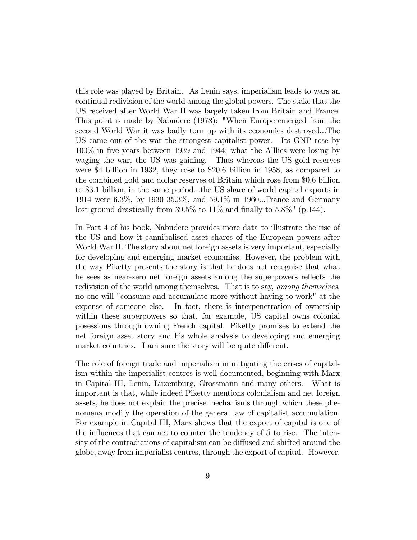this role was played by Britain. As Lenin says, imperialism leads to wars an continual redivision of the world among the global powers. The stake that the US received after World War II was largely taken from Britain and France. This point is made by Nabudere (1978): "When Europe emerged from the second World War it was badly torn up with its economies destroyed...The US came out of the war the strongest capitalist power. Its GNP rose by 100% in Öve years between 1939 and 1944; what the Alllies were losing by waging the war, the US was gaining. Thus whereas the US gold reserves were \$4 billion in 1932, they rose to \$20.6 billion in 1958, as compared to the combined gold and dollar reserves of Britain which rose from \$0.6 billion to \$3.1 billion, in the same period...the US share of world capital exports in 1914 were 6.3%, by 1930 35.3%, and 59.1% in 1960...France and Germany lost ground drastically from  $39.5\%$  to  $11\%$  and finally to  $5.8\%$ " (p.144).

In Part 4 of his book, Nabudere provides more data to illustrate the rise of the US and how it cannibalised asset shares of the European powers after World War II. The story about net foreign assets is very important, especially for developing and emerging market economies. However, the problem with the way Piketty presents the story is that he does not recognise that what he sees as near-zero net foreign assets among the superpowers reflects the redivision of the world among themselves. That is to say, among themselves, no one will "consume and accumulate more without having to work" at the expense of someone else. In fact, there is interpenetration of ownership within these superpowers so that, for example, US capital owns colonial posessions through owning French capital. Piketty promises to extend the net foreign asset story and his whole analysis to developing and emerging market countries. I am sure the story will be quite different.

The role of foreign trade and imperialism in mitigating the crises of capitalism within the imperialist centres is well-documented, beginning with Marx in Capital III, Lenin, Luxemburg, Grossmann and many others. What is important is that, while indeed Piketty mentions colonialism and net foreign assets, he does not explain the precise mechanisms through which these phenomena modify the operation of the general law of capitalist accumulation. For example in Capital III, Marx shows that the export of capital is one of the influences that can act to counter the tendency of  $\beta$  to rise. The intensity of the contradictions of capitalism can be diffused and shifted around the globe, away from imperialist centres, through the export of capital. However,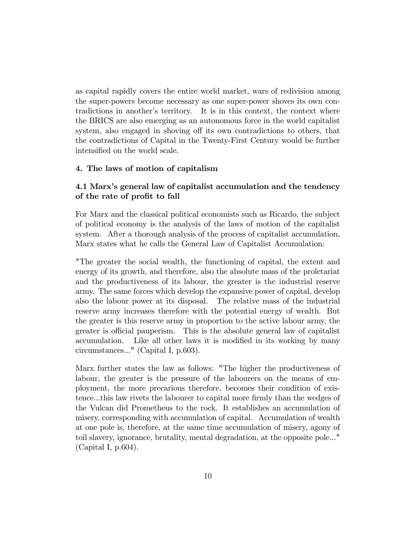as capital rapidly covers the entire world market, wars of redivision among the super-powers become necessary as one super-power shoves its own contradictions in another's territory. It is in this context, the context where the BRICS are also emerging as an autonomous force in the world capitalist system, also engaged in shoving off its own contradictions to others, that the contradictions of Capital in the Twenty-First Century would be further intensified on the world scale.

## 4. The laws of motion of capitalism

## 4.1 Marxís general law of capitalist accumulation and the tendency of the rate of profit to fall

For Marx and the classical political economists such as Ricardo, the subject of political economy is the analysis of the laws of motion of the capitalist system. After a thorough analysis of the process of capitalist accumulation, Marx states what he calls the General Law of Capitalist Accumulation:

"The greater the social wealth, the functioning of capital, the extent and energy of its growth, and therefore, also the absolute mass of the proletariat and the productiveness of its labour, the greater is the industrial reserve army. The same forces which develop the expansive power of capital, develop also the labour power at its disposal. The relative mass of the industrial reserve army increases therefore with the potential energy of wealth. But the greater is this reserve army in proportion to the active labour army, the greater is official pauperism. This is the absolute general law of capitalist accumulation. Like all other laws it is modified in its working by many circumstances..." (Capital I, p.603).

Marx further states the law as follows: "The higher the productiveness of labour, the greater is the pressure of the labourers on the means of employment, the more precarious therefore, becomes their condition of existence...this law rivets the labourer to capital more firmly than the wedges of the Vulcan did Prometheus to the rock. It establishes an accumulation of misery, corresponding with accumulation of capital. Accumulation of wealth at one pole is, therefore, at the same time accumulation of misery, agony of toil slavery, ignorance, brutality, mental degradation, at the opposite pole..." (Capital I, p.604).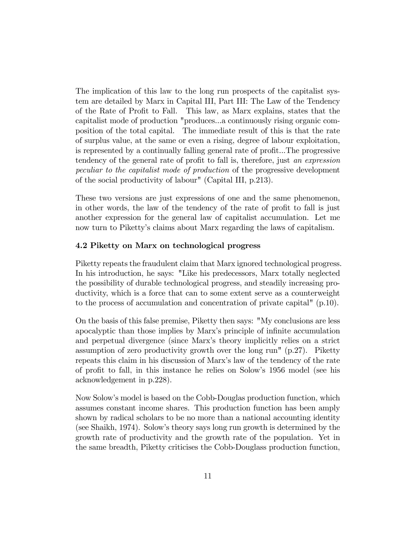The implication of this law to the long run prospects of the capitalist system are detailed by Marx in Capital III, Part III: The Law of the Tendency of the Rate of Profit to Fall. This law, as Marx explains, states that the capitalist mode of production "produces...a continuously rising organic composition of the total capital. The immediate result of this is that the rate of surplus value, at the same or even a rising, degree of labour exploitation, is represented by a continually falling general rate of profit...The progressive tendency of the general rate of profit to fall is, therefore, just an expression peculiar to the capitalist mode of production of the progressive development of the social productivity of labour" (Capital III, p.213).

These two versions are just expressions of one and the same phenomenon, in other words, the law of the tendency of the rate of profit to fall is just another expression for the general law of capitalist accumulation. Let me now turn to Pikettyís claims about Marx regarding the laws of capitalism.

## 4.2 Piketty on Marx on technological progress

Piketty repeats the fraudulent claim that Marx ignored technological progress. In his introduction, he says: "Like his predecessors, Marx totally neglected the possibility of durable technological progress, and steadily increasing productivity, which is a force that can to some extent serve as a counterweight to the process of accumulation and concentration of private capital" (p.10).

On the basis of this false premise, Piketty then says: "My conclusions are less apocalyptic than those implies by Marx's principle of infinite accumulation and perpetual divergence (since Marxís theory implicitly relies on a strict assumption of zero productivity growth over the long run" (p.27). Piketty repeats this claim in his discussion of Marxís law of the tendency of the rate of profit to fall, in this instance he relies on Solow's 1956 model (see his acknowledgement in p.228).

Now Solowís model is based on the Cobb-Douglas production function, which assumes constant income shares. This production function has been amply shown by radical scholars to be no more than a national accounting identity (see Shaikh, 1974). Solowís theory says long run growth is determined by the growth rate of productivity and the growth rate of the population. Yet in the same breadth, Piketty criticises the Cobb-Douglass production function,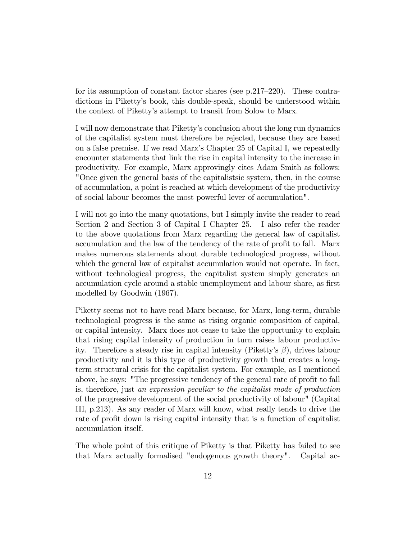for its assumption of constant factor shares (see p.217–220). These contradictions in Pikettyís book, this double-speak, should be understood within the context of Pikettyís attempt to transit from Solow to Marx.

I will now demonstrate that Pikettyís conclusion about the long run dynamics of the capitalist system must therefore be rejected, because they are based on a false premise. If we read Marxís Chapter 25 of Capital I, we repeatedly encounter statements that link the rise in capital intensity to the increase in productivity. For example, Marx approvingly cites Adam Smith as follows: "Once given the general basis of the capitalistsic system, then, in the course of accumulation, a point is reached at which development of the productivity of social labour becomes the most powerful lever of accumulation".

I will not go into the many quotations, but I simply invite the reader to read Section 2 and Section 3 of Capital I Chapter 25. I also refer the reader to the above quotations from Marx regarding the general law of capitalist accumulation and the law of the tendency of the rate of profit to fall. Marx makes numerous statements about durable technological progress, without which the general law of capitalist accumulation would not operate. In fact, without technological progress, the capitalist system simply generates an accumulation cycle around a stable unemployment and labour share, as first modelled by Goodwin (1967).

Piketty seems not to have read Marx because, for Marx, long-term, durable technological progress is the same as rising organic composition of capital, or capital intensity. Marx does not cease to take the opportunity to explain that rising capital intensity of production in turn raises labour productivity. Therefore a steady rise in capital intensity (Piketty's  $\beta$ ), drives labour productivity and it is this type of productivity growth that creates a longterm structural crisis for the capitalist system. For example, as I mentioned above, he says: "The progressive tendency of the general rate of profit to fall is, therefore, just an expression peculiar to the capitalist mode of production of the progressive development of the social productivity of labour" (Capital III, p.213). As any reader of Marx will know, what really tends to drive the rate of profit down is rising capital intensity that is a function of capitalist accumulation itself.

The whole point of this critique of Piketty is that Piketty has failed to see that Marx actually formalised "endogenous growth theory". Capital ac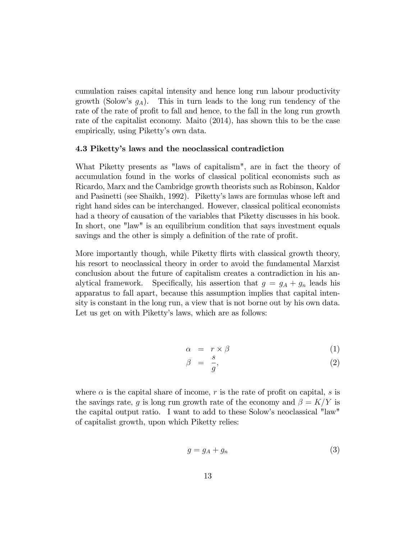cumulation raises capital intensity and hence long run labour productivity growth (Solow's  $g_A$ ). This in turn leads to the long run tendency of the rate of the rate of profit to fall and hence, to the fall in the long run growth rate of the capitalist economy. Maito (2014), has shown this to be the case empirically, using Piketty's own data.

#### 4.3 Pikettyís laws and the neoclassical contradiction

What Piketty presents as "laws of capitalism", are in fact the theory of accumulation found in the works of classical political economists such as Ricardo, Marx and the Cambridge growth theorists such as Robinson, Kaldor and Pasinetti (see Shaikh, 1992). Pikettyís laws are formulas whose left and right hand sides can be interchanged. However, classical political economists had a theory of causation of the variables that Piketty discusses in his book. In short, one "law" is an equilibrium condition that says investment equals savings and the other is simply a definition of the rate of profit.

More importantly though, while Piketty flirts with classical growth theory, his resort to neoclassical theory in order to avoid the fundamental Marxist conclusion about the future of capitalism creates a contradiction in his analytical framework. Specifically, his assertion that  $g = g_A + g_n$  leads his apparatus to fall apart, because this assumption implies that capital intensity is constant in the long run, a view that is not borne out by his own data. Let us get on with Piketty's laws, which are as follows:

$$
\alpha = r \times \beta \tag{1}
$$

$$
\beta = \frac{s}{g},\tag{2}
$$

where  $\alpha$  is the capital share of income, r is the rate of profit on capital, s is the savings rate, q is long run growth rate of the economy and  $\beta = K/Y$  is the capital output ratio. I want to add to these Solow's neoclassical "law" of capitalist growth, upon which Piketty relies:

$$
g = g_A + g_n \tag{3}
$$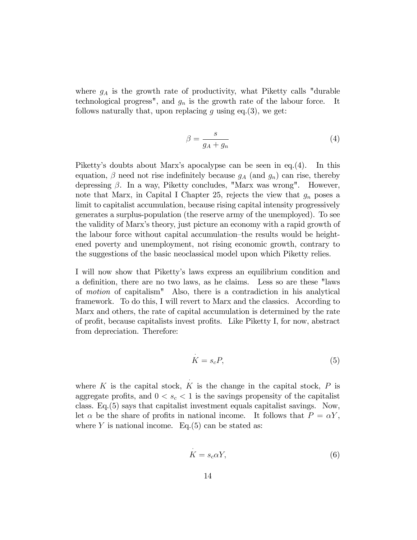where  $g_A$  is the growth rate of productivity, what Piketty calls "durable" technological progress", and  $g_n$  is the growth rate of the labour force. It follows naturally that, upon replacing g using eq.(3), we get:

$$
\beta = \frac{s}{g_A + g_n} \tag{4}
$$

Piketty's doubts about Marx's apocalypse can be seen in eq.(4). In this equation,  $\beta$  need not rise indefinitely because  $g_A$  (and  $g_n$ ) can rise, thereby depressing  $\beta$ . In a way, Piketty concludes, "Marx was wrong". However, note that Marx, in Capital I Chapter 25, rejects the view that  $q_n$  poses a limit to capitalist accumulation, because rising capital intensity progressively generates a surplus-population (the reserve army of the unemployed). To see the validity of Marxís theory, just picture an economy with a rapid growth of the labour force without capital accumulation–the results would be heightened poverty and unemployment, not rising economic growth, contrary to the suggestions of the basic neoclassical model upon which Piketty relies.

I will now show that Pikettyís laws express an equilibrium condition and a definition, there are no two laws, as he claims. Less so are these "laws of motion of capitalism" Also, there is a contradiction in his analytical framework. To do this, I will revert to Marx and the classics. According to Marx and others, the rate of capital accumulation is determined by the rate of profit, because capitalists invest profits. Like Piketty I, for now, abstract from depreciation. Therefore:

.

 $\ddot{\phantom{0}}$ 

$$
K = s_c P,\t\t(5)
$$

where  $K$  is the capital stock,  $K$  is the change in the capital stock,  $P$  is aggregate profits, and  $0 < s_c < 1$  is the savings propensity of the capitalist class. Eq.(5) says that capitalist investment equals capitalist savings. Now, let  $\alpha$  be the share of profits in national income. It follows that  $P = \alpha Y$ , where Y is national income. Eq.  $(5)$  can be stated as:

$$
K = s_c \alpha Y,\t\t(6)
$$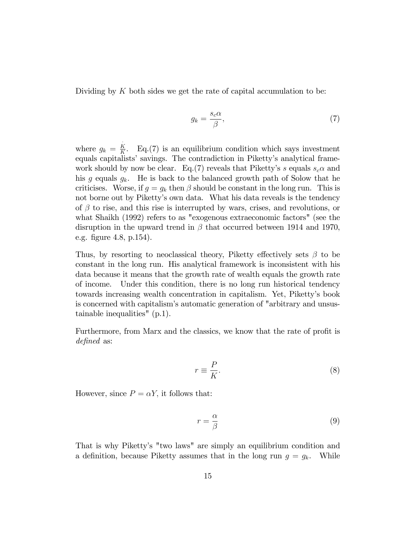Dividing by  $K$  both sides we get the rate of capital accumulation to be:

$$
g_k = \frac{s_c \alpha}{\beta},\tag{7}
$$

where  $g_k = \frac{K}{K}$  $\frac{K}{K}$ . Eq.(7) is an equilibrium condition which says investment equals capitalists' savings. The contradiction in Piketty's analytical framework should by now be clear. Eq.(7) reveals that Piketty's s equals  $s_c \alpha$  and his g equals  $g_k$ . He is back to the balanced growth path of Solow that he criticises. Worse, if  $g = g_k$  then  $\beta$  should be constant in the long run. This is not borne out by Piketty's own data. What his data reveals is the tendency of  $\beta$  to rise, and this rise is interrupted by wars, crises, and revolutions, or what Shaikh (1992) refers to as "exogenous extraeconomic factors" (see the disruption in the upward trend in  $\beta$  that occurred between 1914 and 1970, e.g. figure 4.8, p.154).

Thus, by resorting to neoclassical theory, Piketty effectively sets  $\beta$  to be constant in the long run. His analytical framework is inconsistent with his data because it means that the growth rate of wealth equals the growth rate of income. Under this condition, there is no long run historical tendency towards increasing wealth concentration in capitalism. Yet, Pikettyís book is concerned with capitalism's automatic generation of "arbitrary and unsustainable inequalities" (p.1).

Furthermore, from Marx and the classics, we know that the rate of profit is defined as:

$$
r \equiv \frac{P}{K}.\tag{8}
$$

However, since  $P = \alpha Y$ , it follows that:

 $\ddot{\phantom{0}}$ 

$$
r = \frac{\alpha}{\beta} \tag{9}
$$

That is why Piketty's "two laws" are simply an equilibrium condition and a definition, because Piketty assumes that in the long run  $g = g_k$ . While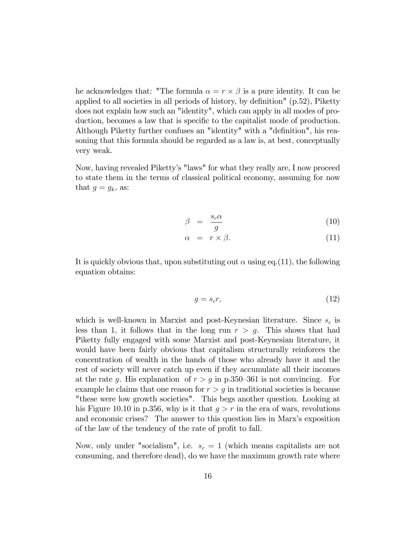he acknowledges that: "The formula  $\alpha = r \times \beta$  is a pure identity. It can be applied to all societies in all periods of history, by definition"  $(p.52)$ , Piketty does not explain how such an "identity", which can apply in all modes of production, becomes a law that is specific to the capitalist mode of production. Although Piketty further confuses an "identity" with a "definition", his reasoning that this formula should be regarded as a law is, at best, conceptually very weak.

Now, having revealed Pikettyís "laws" for what they really are, I now proceed to state them in the terms of classical political economy, assuming for now that  $g = g_k$ , as:

$$
\beta = \frac{s_c \alpha}{g} \tag{10}
$$

$$
\alpha = r \times \beta. \tag{11}
$$

It is quickly obvious that, upon substituting out  $\alpha$  using eq.(11), the following equation obtains:

$$
g = s_c r,\tag{12}
$$

which is well-known in Marxist and post-Keynesian literature. Since  $s_c$  is less than 1, it follows that in the long run  $r > q$ . This shows that had Piketty fully engaged with some Marxist and post-Keynesian literature, it would have been fairly obvious that capitalism structurally reinforces the concentration of wealth in the hands of those who already have it and the rest of society will never catch up even if they accumulate all their incomes at the rate g. His explanation of  $r > g$  in p.350–361 is not convincing. For example he claims that one reason for  $r > g$  in traditional societies is because "these were low growth societies". This begs another question. Looking at his Figure 10.10 in p.356, why is it that  $q > r$  in the era of wars, revolutions and economic crises? The answer to this question lies in Marx's exposition of the law of the tendency of the rate of profit to fall.

Now, only under "socialism", i.e.  $s_c = 1$  (which means capitalists are not consuming, and therefore dead), do we have the maximum growth rate where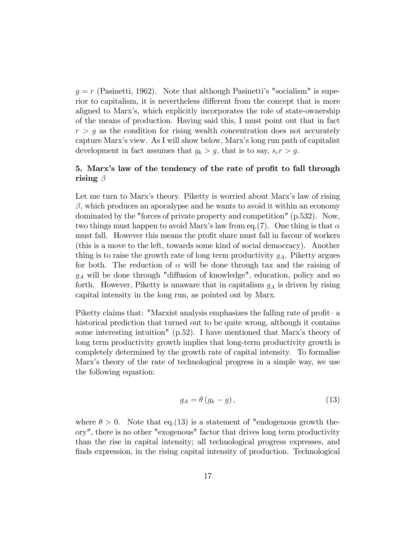$g = r$  (Pasinetti, 1962). Note that although Pasinetti's "socialism" is superior to capitalism, it is nevertheless different from the concept that is more aligned to Marxís, which explicitly incorporates the role of state-ownership of the means of production. Having said this, I must point out that in fact  $r > g$  as the condition for rising wealth concentration does not accurately capture Marxís view. As I will show below, Marxís long run path of capitalist development in fact assumes that  $g_k > g$ , that is to say,  $s_c r > g$ .

## 5. Marx's law of the tendency of the rate of profit to fall through rising  $\beta$

Let me turn to Marx's theory. Piketty is worried about Marx's law of rising  $\beta$ , which produces an apocalypse and he wants to avoid it within an economy dominated by the "forces of private property and competition" (p.532). Now, two things must happen to avoid Marx's law from eq. (7). One thing is that  $\alpha$ must fall. However this means the profit share must fall in favour of workers (this is a move to the left, towards some kind of social democracy). Another thing is to raise the growth rate of long term productivity  $g_A$ . Piketty argues for both. The reduction of  $\alpha$  will be done through tax and the raising of  $g_A$  will be done through "diffusion of knowledge", education, policy and so forth. However, Piketty is unaware that in capitalism  $g_A$  is driven by rising capital intensity in the long run, as pointed out by Marx.

Piketty claims that: "Marxist analysis emphasizes the falling rate of profit-  $a$ historical prediction that turned out to be quite wrong, although it contains some interesting intuition"  $(p.52)$ . I have mentioned that Marx's theory of long term productivity growth implies that long-term productivity growth is completely determined by the growth rate of capital intensity. To formalise Marxís theory of the rate of technological progress in a simple way, we use the following equation:

$$
g_A = \theta \left( g_k - g \right), \tag{13}
$$

where  $\theta > 0$ . Note that eq.(13) is a statement of "endogenous growth theory", there is no other "exogenous" factor that drives long term productivity than the rise in capital intensity; all technological progress expresses, and finds expression, in the rising capital intensity of production. Technological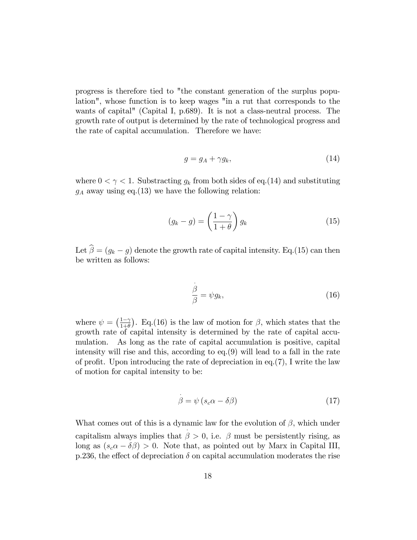progress is therefore tied to "the constant generation of the surplus population", whose function is to keep wages "in a rut that corresponds to the wants of capital" (Capital I, p.689). It is not a class-neutral process. The growth rate of output is determined by the rate of technological progress and the rate of capital accumulation. Therefore we have:

$$
g = g_A + \gamma g_k,\tag{14}
$$

where  $0 < \gamma < 1$ . Substracting  $g_k$  from both sides of eq.(14) and substituting  $g_A$  away using eq.(13) we have the following relation:

$$
(g_k - g) = \left(\frac{1 - \gamma}{1 + \theta}\right) g_k \tag{15}
$$

Let  $\hat{\beta} = (g_k - g)$  denote the growth rate of capital intensity. Eq.(15) can then be written as follows:

.

$$
\frac{\beta}{\beta} = \psi g_k,\tag{16}
$$

where  $\psi = \left(\frac{1-\gamma}{1+\theta}\right)$  $\frac{1-\gamma}{1+\theta}$ . Eq.(16) is the law of motion for  $\beta$ , which states that the growth rate of capital intensity is determined by the rate of capital accumulation. As long as the rate of capital accumulation is positive, capital intensity will rise and this, according to eq.(9) will lead to a fall in the rate of profit. Upon introducing the rate of depreciation in eq.  $(7)$ , I write the law of motion for capital intensity to be:

$$
\beta = \psi \left( s_c \alpha - \delta \beta \right) \tag{17}
$$

What comes out of this is a dynamic law for the evolution of  $\beta$ , which under capitalism always implies that  $\beta > 0$ , i.e.  $\beta$  must be persistently rising, as long as  $(s_c \alpha - \delta \beta) > 0$ . Note that, as pointed out by Marx in Capital III, p.236, the effect of depreciation  $\delta$  on capital accumulation moderates the rise

.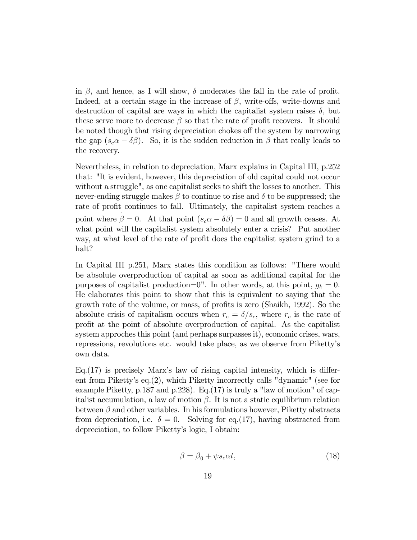in  $\beta$ , and hence, as I will show,  $\delta$  moderates the fall in the rate of profit. Indeed, at a certain stage in the increase of  $\beta$ , write-offs, write-downs and destruction of capital are ways in which the capitalist system raises  $\delta$ , but these serve more to decrease  $\beta$  so that the rate of profit recovers. It should be noted though that rising depreciation chokes off the system by narrowing the gap  $(s_c \alpha - \delta \beta)$ . So, it is the sudden reduction in  $\beta$  that really leads to the recovery.

Nevertheless, in relation to depreciation, Marx explains in Capital III, p.252 that: "It is evident, however, this depreciation of old capital could not occur without a struggle", as one capitalist seeks to shift the losses to another. This never-ending struggle makes  $\beta$  to continue to rise and  $\delta$  to be suppressed; the rate of profit continues to fall. Ultimately, the capitalist system reaches a point where  $\beta = 0$ . At that point  $(s_c \alpha - \delta \beta) = 0$  and all growth ceases. At what point will the capitalist system absolutely enter a crisis? Put another way, at what level of the rate of profit does the capitalist system grind to a halt?

In Capital III p.251, Marx states this condition as follows: "There would be absolute overproduction of capital as soon as additional capital for the purposes of capitalist production=0". In other words, at this point,  $g_k = 0$ . He elaborates this point to show that this is equivalent to saying that the growth rate of the volume, or mass, of profits is zero (Shaikh, 1992). So the absolute crisis of capitalism occurs when  $r_c = \delta/s_c$ , where  $r_c$  is the rate of proÖt at the point of absolute overproduction of capital. As the capitalist system approches this point (and perhaps surpasses it), economic crises, wars, repressions, revolutions etc. would take place, as we observe from Pikettyís own data.

 $Eq.(17)$  is precisely Marx's law of rising capital intensity, which is different from Pikettyís eq.(2), which Piketty incorrectly calls "dynamic" (see for example Piketty, p.187 and p.228). Eq.(17) is truly a "law of motion" of capitalist accumulation, a law of motion  $\beta$ . It is not a static equilibrium relation between  $\beta$  and other variables. In his formulations however, Piketty abstracts from depreciation, i.e.  $\delta = 0$ . Solving for eq.(17), having abstracted from depreciation, to follow Pikettyís logic, I obtain:

$$
\beta = \beta_0 + \psi s_c \alpha t,\tag{18}
$$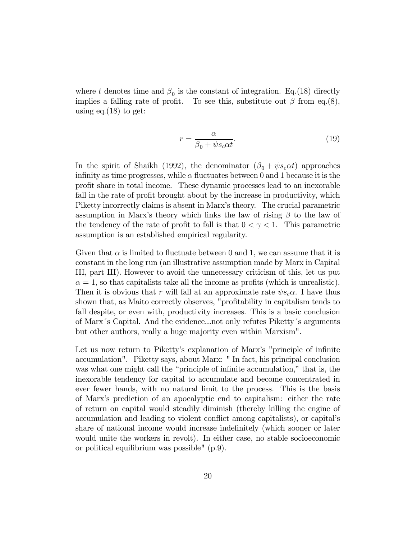where t denotes time and  $\beta_0$  is the constant of integration. Eq.(18) directly implies a falling rate of profit. To see this, substitute out  $\beta$  from eq.(8), using eq. $(18)$  to get:

$$
r = \frac{\alpha}{\beta_0 + \psi s_c \alpha t}.
$$
\n(19)

In the spirit of Shaikh (1992), the denominator  $(\beta_0 + \psi s_c \alpha t)$  approaches infinity as time progresses, while  $\alpha$  fluctuates between 0 and 1 because it is the proÖt share in total income. These dynamic processes lead to an inexorable fall in the rate of profit brought about by the increase in productivity, which Piketty incorrectly claims is absent in Marx's theory. The crucial parametric assumption in Marx's theory which links the law of rising  $\beta$  to the law of the tendency of the rate of profit to fall is that  $0 < \gamma < 1$ . This parametric assumption is an established empirical regularity.

Given that  $\alpha$  is limited to fluctuate between 0 and 1, we can assume that it is constant in the long run (an illustrative assumption made by Marx in Capital III, part III). However to avoid the unnecessary criticism of this, let us put  $\alpha = 1$ , so that capitalists take all the income as profits (which is unrealistic). Then it is obvious that r will fall at an approximate rate  $\psi s_c \alpha$ . I have thus shown that, as Maito correctly observes, "profitability in capitalism tends to fall despite, or even with, productivity increases. This is a basic conclusion of Marx's Capital. And the evidence...not only refutes Piketty's arguments but other authors, really a huge majority even within Marxism".

Let us now return to Piketty's explanation of Marx's "principle of infinite accumulation". Piketty says, about Marx: " In fact, his principal conclusion was what one might call the "principle of infinite accumulation," that is, the inexorable tendency for capital to accumulate and become concentrated in ever fewer hands, with no natural limit to the process. This is the basis of Marxís prediction of an apocalyptic end to capitalism: either the rate of return on capital would steadily diminish (thereby killing the engine of accumulation and leading to violent conflict among capitalists), or capital's share of national income would increase indefinitely (which sooner or later would unite the workers in revolt). In either case, no stable socioeconomic or political equilibrium was possible" (p.9).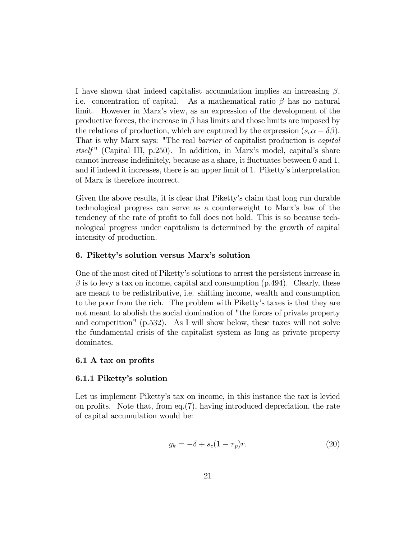I have shown that indeed capitalist accumulation implies an increasing  $\beta$ , i.e. concentration of capital. As a mathematical ratio  $\beta$  has no natural limit. However in Marxís view, as an expression of the development of the productive forces, the increase in  $\beta$  has limits and those limits are imposed by the relations of production, which are captured by the expression  $(s_c \alpha - \delta \beta)$ . That is why Marx says: "The real barrier of capitalist production is capital itself " (Capital III, p.250). In addition, in Marx's model, capital's share cannot increase indefinitely, because as a share, it fluctuates between 0 and 1, and if indeed it increases, there is an upper limit of 1. Piketty's interpretation of Marx is therefore incorrect.

Given the above results, it is clear that Piketty's claim that long run durable technological progress can serve as a counterweight to Marxís law of the tendency of the rate of profit to fall does not hold. This is so because technological progress under capitalism is determined by the growth of capital intensity of production.

## 6. Piketty's solution versus Marx's solution

One of the most cited of Pikettyís solutions to arrest the persistent increase in  $\beta$  is to levy a tax on income, capital and consumption (p.494). Clearly, these are meant to be redistributive, i.e. shifting income, wealth and consumption to the poor from the rich. The problem with Piketty's taxes is that they are not meant to abolish the social domination of "the forces of private property and competition" (p.532). As I will show below, these taxes will not solve the fundamental crisis of the capitalist system as long as private property dominates.

## 6.1 A tax on profits

## 6.1.1 Piketty's solution

Let us implement Piketty's tax on income, in this instance the tax is levied on profits. Note that, from eq.  $(7)$ , having introduced depreciation, the rate of capital accumulation would be:

$$
g_k = -\delta + s_c (1 - \tau_p)r. \tag{20}
$$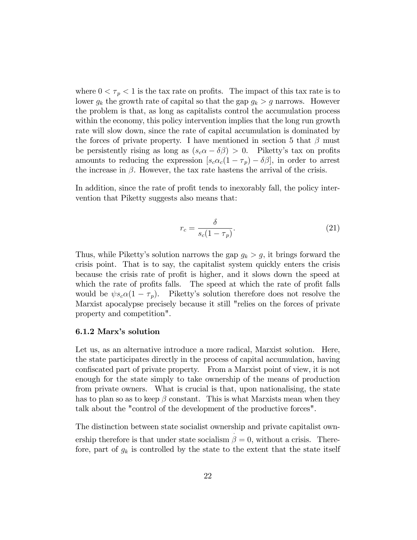where  $0 < \tau_p < 1$  is the tax rate on profits. The impact of this tax rate is to lower  $g_k$  the growth rate of capital so that the gap  $g_k > g$  narrows. However the problem is that, as long as capitalists control the accumulation process within the economy, this policy intervention implies that the long run growth rate will slow down, since the rate of capital accumulation is dominated by the forces of private property. I have mentioned in section 5 that  $\beta$  must be persistently rising as long as  $(s_c \alpha - \delta \beta) > 0$ . Piketty's tax on profits amounts to reducing the expression  $[s_c\alpha_c(1-\tau_p)-\delta\beta]$ , in order to arrest the increase in  $\beta$ . However, the tax rate hastens the arrival of the crisis.

In addition, since the rate of profit tends to inexorably fall, the policy intervention that Piketty suggests also means that:

$$
r_c = \frac{\delta}{s_c(1 - \tau_p)}.\tag{21}
$$

Thus, while Piketty's solution narrows the gap  $g_k > g$ , it brings forward the crisis point. That is to say, the capitalist system quickly enters the crisis because the crisis rate of profit is higher, and it slows down the speed at which the rate of profits falls. The speed at which the rate of profit falls would be  $\psi s_c \alpha (1 - \tau_p)$ . Piketty's solution therefore does not resolve the Marxist apocalypse precisely because it still "relies on the forces of private property and competition".

#### 6.1.2 Marx's solution

Let us, as an alternative introduce a more radical, Marxist solution. Here, the state participates directly in the process of capital accumulation, having confiscated part of private property. From a Marxist point of view, it is not enough for the state simply to take ownership of the means of production from private owners. What is crucial is that, upon nationalising, the state has to plan so as to keep  $\beta$  constant. This is what Marxists mean when they talk about the "control of the development of the productive forces".

The distinction between state socialist ownership and private capitalist own ership therefore is that under state socialism  $\beta = 0$ , without a crisis. Therefore, part of  $g_k$  is controlled by the state to the extent that the state itself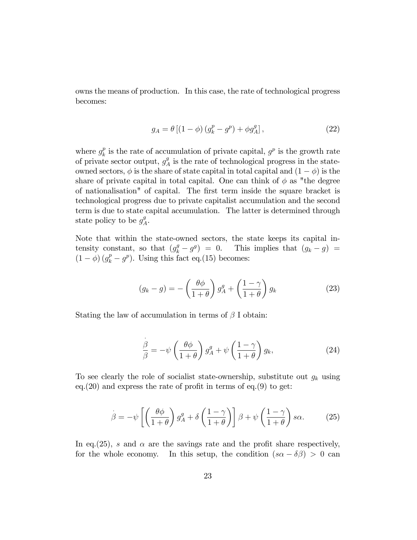owns the means of production. In this case, the rate of technological progress becomes:

$$
g_A = \theta \left[ (1 - \phi) \left( g_k^p - g^p \right) + \phi g_A^q \right],\tag{22}
$$

where  $g_k^p$  $\frac{p}{k}$  is the rate of accumulation of private capital,  $g^p$  is the growth rate of private sector output,  $g_A^g$  $A_A^g$  is the rate of technological progress in the stateowned sectors,  $\phi$  is the share of state capital in total capital and  $(1 - \phi)$  is the share of private capital in total capital. One can think of  $\phi$  as "the degree of nationalisation" of capital. The first term inside the square bracket is technological progress due to private capitalist accumulation and the second term is due to state capital accumulation. The latter is determined through state policy to be  $g_A^g$  $^g_A$ .

Note that within the state-owned sectors, the state keeps its capital intensity constant, so that  $(g_k^g - g^g) = 0$ . This implies that  $(g_k - g) =$  $(1 - \phi) (g_k^p - g^p)$ . Using this fact eq.(15) becomes:

$$
(g_k - g) = -\left(\frac{\theta \phi}{1 + \theta}\right) g_A^g + \left(\frac{1 - \gamma}{1 + \theta}\right) g_k \tag{23}
$$

Stating the law of accumulation in terms of  $\beta$  I obtain:

 $\ddot{\phantom{0}}$ 

$$
\frac{\beta}{\beta} = -\psi \left( \frac{\theta \phi}{1+\theta} \right) g_A^g + \psi \left( \frac{1-\gamma}{1+\theta} \right) g_k,
$$
\n(24)

To see clearly the role of socialist state-ownership, substitute out  $g_k$  using eq.  $(20)$  and express the rate of profit in terms of eq.  $(9)$  to get:

$$
\beta = -\psi \left[ \left( \frac{\theta \phi}{1+\theta} \right) g_A^g + \delta \left( \frac{1-\gamma}{1+\theta} \right) \right] \beta + \psi \left( \frac{1-\gamma}{1+\theta} \right) s\alpha. \tag{25}
$$

In eq. (25), s and  $\alpha$  are the savings rate and the profit share respectively, for the whole economy. In this setup, the condition  $(s\alpha - \delta\beta) > 0$  can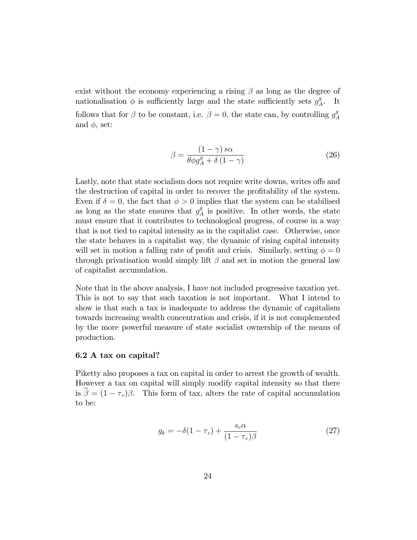exist without the economy experiencing a rising  $\beta$  as long as the degree of nationalisation  $\phi$  is sufficiently large and the state sufficiently sets  $g_A^g$  $A^g$ . It follows that for  $\beta$  to be constant, i.e.  $\ddot{\phantom{0}}$  $\beta = 0$ , the state can, by controlling  $g_{\beta}^{g}$ A and  $\phi$ , set:

$$
\beta = \frac{(1 - \gamma) s\alpha}{\theta \phi g_A^g + \delta (1 - \gamma)}
$$
\n(26)

Lastly, note that state socialism does not require write downs, writes offs and the destruction of capital in order to recover the profitability of the system. Even if  $\delta = 0$ , the fact that  $\phi > 0$  implies that the system can be stabilised as long as the state ensures that  $g_{\n\ell}^g$  $_A^g$  is positive. In other words, the state must ensure that it contributes to technological progress, of course in a way that is not tied to capital intensity as in the capitalist case. Otherwise, once the state behaves in a capitalist way, the dynamic of rising capital intensity will set in motion a falling rate of profit and crisis. Similarly, setting  $\phi = 0$ through privatisation would simply lift  $\beta$  and set in motion the general law of capitalist accumulation.

Note that in the above analysis, I have not included progressive taxation yet. This is not to say that such taxation is not important. What I intend to show is that such a tax is inadequate to address the dynamic of capitalism towards increasing wealth concentration and crisis, if it is not complemented by the more powerful measure of state socialist ownership of the means of production.

### 6.2 A tax on capital?

Piketty also proposes a tax on capital in order to arrest the growth of wealth. However a tax on capital will simply modify capital intensity so that there is  $\beta = (1 - \tau_c)\beta$ . This form of tax, alters the rate of capital accumulation to be:

$$
g_k = -\delta(1 - \tau_c) + \frac{s_c \alpha}{(1 - \tau_c)\beta} \tag{27}
$$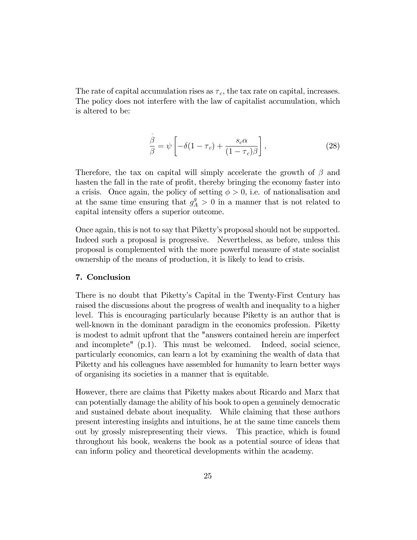The rate of capital accumulation rises as  $\tau_c$ , the tax rate on capital, increases. The policy does not interfere with the law of capitalist accumulation, which is altered to be:

$$
\frac{\dot{\beta}}{\beta} = \psi \left[ -\delta (1 - \tau_c) + \frac{s_c \alpha}{(1 - \tau_c)\beta} \right],\tag{28}
$$

Therefore, the tax on capital will simply accelerate the growth of  $\beta$  and hasten the fall in the rate of profit, thereby bringing the economy faster into a crisis. Once again, the policy of setting  $\phi > 0$ , i.e. of nationalisation and at the same time ensuring that  $g_A^g > 0$  in a manner that is not related to capital intensity offers a superior outcome.

Once again, this is not to say that Pikettyís proposal should not be supported. Indeed such a proposal is progressive. Nevertheless, as before, unless this proposal is complemented with the more powerful measure of state socialist ownership of the means of production, it is likely to lead to crisis.

## 7. Conclusion

There is no doubt that Pikettyís Capital in the Twenty-First Century has raised the discussions about the progress of wealth and inequality to a higher level. This is encouraging particularly because Piketty is an author that is well-known in the dominant paradigm in the economics profession. Piketty is modest to admit upfront that the "answers contained herein are imperfect and incomplete" (p.1). This must be welcomed. Indeed, social science, particularly economics, can learn a lot by examining the wealth of data that Piketty and his colleagues have assembled for humanity to learn better ways of organising its societies in a manner that is equitable.

However, there are claims that Piketty makes about Ricardo and Marx that can potentially damage the ability of his book to open a genuinely democratic and sustained debate about inequality. While claiming that these authors present interesting insights and intuitions, he at the same time cancels them out by grossly misrepresenting their views. This practice, which is found throughout his book, weakens the book as a potential source of ideas that can inform policy and theoretical developments within the academy.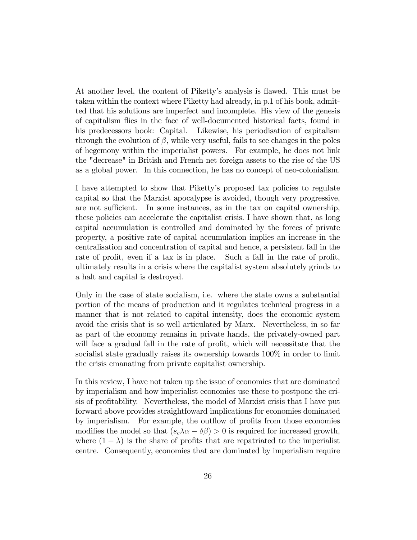At another level, the content of Piketty's analysis is flawed. This must be taken within the context where Piketty had already, in p.1 of his book, admitted that his solutions are imperfect and incomplete. His view of the genesis of capitalism áies in the face of well-documented historical facts, found in his predecessors book: Capital. Likewise, his periodisation of capitalism through the evolution of  $\beta$ , while very useful, fails to see changes in the poles of hegemony within the imperialist powers. For example, he does not link the "decrease" in British and French net foreign assets to the rise of the US as a global power. In this connection, he has no concept of neo-colonialism.

I have attempted to show that Piketty's proposed tax policies to regulate capital so that the Marxist apocalypse is avoided, though very progressive, are not sufficient. In some instances, as in the tax on capital ownership, these policies can accelerate the capitalist crisis. I have shown that, as long capital accumulation is controlled and dominated by the forces of private property, a positive rate of capital accumulation implies an increase in the centralisation and concentration of capital and hence, a persistent fall in the rate of profit, even if a tax is in place. Such a fall in the rate of profit, ultimately results in a crisis where the capitalist system absolutely grinds to a halt and capital is destroyed.

Only in the case of state socialism, i.e. where the state owns a substantial portion of the means of production and it regulates technical progress in a manner that is not related to capital intensity, does the economic system avoid the crisis that is so well articulated by Marx. Nevertheless, in so far as part of the economy remains in private hands, the privately-owned part will face a gradual fall in the rate of profit, which will necessitate that the socialist state gradually raises its ownership towards 100% in order to limit the crisis emanating from private capitalist ownership.

In this review, I have not taken up the issue of economies that are dominated by imperialism and how imperialist economies use these to postpone the crisis of profitability. Nevertheless, the model of Marxist crisis that I have put forward above provides straightfoward implications for economies dominated by imperialism. For example, the outflow of profits from those economies modifies the model so that  $(s_c \lambda \alpha - \delta \beta) > 0$  is required for increased growth, where  $(1 - \lambda)$  is the share of profits that are repatriated to the imperialist centre. Consequently, economies that are dominated by imperialism require